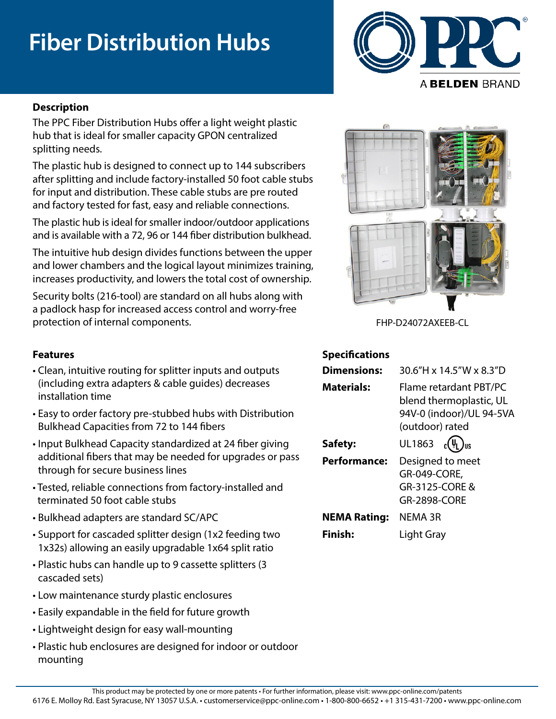# **Fiber Distribution Hubs**



### **Description**

The PPC Fiber Distribution Hubs offer a light weight plastic hub that is ideal for smaller capacity GPON centralized splitting needs.

The plastic hub is designed to connect up to 144 subscribers after splitting and include factory-installed 50 foot cable stubs for input and distribution. These cable stubs are pre routed and factory tested for fast, easy and reliable connections.

The plastic hub is ideal for smaller indoor/outdoor applications and is available with a 72, 96 or 144 fiber distribution bulkhead.

The intuitive hub design divides functions between the upper and lower chambers and the logical layout minimizes training, increases productivity, and lowers the total cost of ownership.

Security bolts (216-tool) are standard on all hubs along with a padlock hasp for increased access control and worry-free protection of internal components.

- Clean, intuitive routing for splitter inputs and outputs (including extra adapters & cable guides) decreases installation time
- Easy to order factory pre-stubbed hubs with Distribution Bulkhead Capacities from 72 to 144 fibers
- Input Bulkhead Capacity standardized at 24 fiber giving additional fibers that may be needed for upgrades or pass through for secure business lines
- Tested, reliable connections from factory-installed and terminated 50 foot cable stubs
- Bulkhead adapters are standard SC/APC
- Support for cascaded splitter design (1x2 feeding two 1x32s) allowing an easily upgradable 1x64 split ratio
- Plastic hubs can handle up to 9 cassette splitters (3 cascaded sets)
- Low maintenance sturdy plastic enclosures
- Easily expandable in the field for future growth
- Lightweight design for easy wall-mounting
- Plastic hub enclosures are designed for indoor or outdoor mounting



FHP-D24072AXEEB-CL

### **Features Specifications**

| <b>Dimensions:</b>           | 30.6"H x 14.5"W x 8.3"D                                                                                                   |
|------------------------------|---------------------------------------------------------------------------------------------------------------------------|
| <b>Materials:</b><br>Safety: | Flame retardant PBT/PC<br>blend thermoplastic, UL<br>94V-0 (indoor)/UL 94-5VA<br>(outdoor) rated<br>UL1863 $c(\Psi_L)$ us |
| <b>Performance:</b>          | Designed to meet<br>GR-049-CORE,<br>GR-3125-CORE &<br><b>GR-2898-CORE</b>                                                 |
| <b>NEMA Rating:</b>          | NEMA 3R                                                                                                                   |
| <b>Finish:</b>               | Light Gray                                                                                                                |